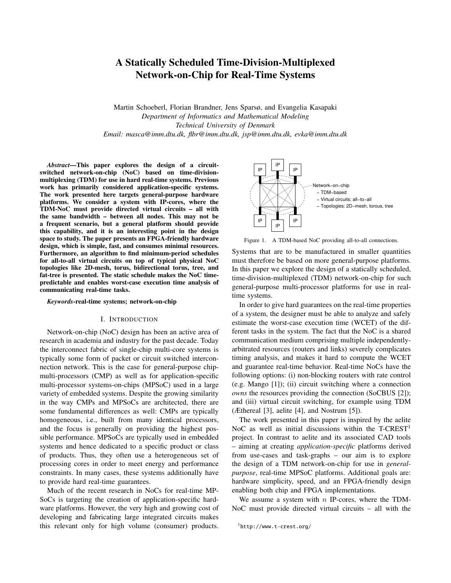# A Statically Scheduled Time-Division-Multiplexed Network-on-Chip for Real-Time Systems

Martin Schoeberl, Florian Brandner, Jens Sparsø, and Evangelia Kasapaki *Department of Informatics and Mathematical Modeling Technical University of Denmark Email: masca@imm.dtu.dk, flbr@imm.dtu.dk, jsp@imm.dtu.dk, evka@imm.dtu.dk*

*Abstract*—This paper explores the design of a circuitswitched network-on-chip (NoC) based on time-divisionmultiplexing (TDM) for use in hard real-time systems. Previous work has primarily considered application-specific systems. The work presented here targets general-purpose hardware platforms. We consider a system with IP-cores, where the TDM-NoC must provide directed virtual circuits – all with the same bandwidth – between all nodes. This may not be a frequent scenario, but a general platform should provide this capability, and it is an interesting point in the design space to study. The paper presents an FPGA-friendly hardware design, which is simple, fast, and consumes minimal resources. Furthermore, an algorithm to find minimum-period schedules for all-to-all virtual circuits on top of typical physical NoC topologies like 2D-mesh, torus, bidirectional torus, tree, and fat-tree is presented. The static schedule makes the NoC timepredictable and enables worst-case execution time analysis of communicating real-time tasks.

#### *Keywords*-real-time systems; network-on-chip

#### I. INTRODUCTION

Network-on-chip (NoC) design has been an active area of research in academia and industry for the past decade. Today the interconnect fabric of single-chip multi-core systems is typically some form of packet or circuit switched interconnection network. This is the case for general-purpose chipmulti-processors (CMP) as well as for application-specific multi-processor systems-on-chips (MPSoC) used in a large variety of embedded systems. Despite the growing similarity in the way CMPs and MPSoCs are architected, there are some fundamental differences as well: CMPs are typically homogeneous, i.e., built from many identical processors, and the focus is generally on providing the highest possible performance. MPSoCs are typically used in embedded systems and hence dedicated to a specific product or class of products. Thus, they often use a heterogeneous set of processing cores in order to meet energy and performance constraints. In many cases, these systems additionally have to provide hard real-time guarantees.

Much of the recent research in NoCs for real-time MP-SoCs is targeting the creation of application-specific hardware platforms. However, the very high and growing cost of developing and fabricating large integrated circuits makes this relevant only for high volume (consumer) products.



Figure 1. A TDM-based NoC providing all-to-all connections.

Systems that are to be manufactured in smaller quantities must therefore be based on more general-purpose platforms. In this paper we explore the design of a statically scheduled, time-division-multiplexed (TDM) network-on-chip for such general-purpose multi-processor platforms for use in realtime systems.

In order to give hard guarantees on the real-time properties of a system, the designer must be able to analyze and safely estimate the worst-case execution time (WCET) of the different tasks in the system. The fact that the NoC is a shared communication medium comprising multiple independentlyarbitrated resources (routers and links) severely complicates timing analysis, and makes it hard to compute the WCET and guarantee real-time behavior. Real-time NoCs have the following options: (i) non-blocking routers with rate control (e.g. Mango [1]); (ii) circuit switching where a connection *owns* the resources providing the connection (SoCBUS [2]); and (iii) virtual circuit switching, for example using TDM (Æthereal [3], aelite [4], and Nostrum [5]).

The work presented in this paper is inspired by the aelite NoC as well as initial discussions within the  $T-CREST<sup>1</sup>$ project. In contrast to aelite and its associated CAD tools – aiming at creating *application-specific* platforms derived from use-cases and task-graphs – our aim is to explore the design of a TDM network-on-chip for use in *generalpurpose*, real-time MPSoC platforms. Additional goals are: hardware simplicity, speed, and an FPGA-friendly design enabling both chip and FPGA implementations.

We assume a system with  $n$  IP-cores, where the TDM-NoC must provide directed virtual circuits – all with the

```
1http://www.t-crest.org/
```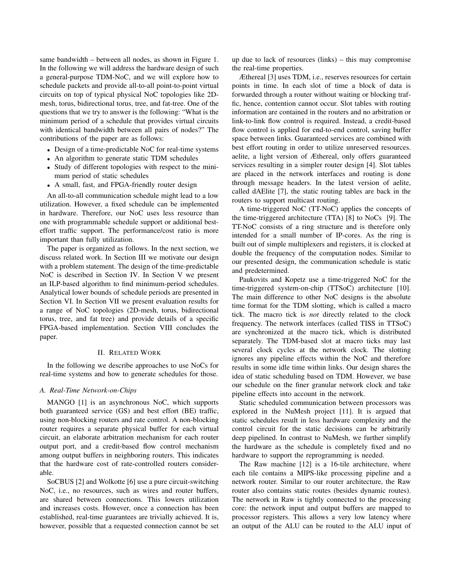same bandwidth – between all nodes, as shown in Figure 1. In the following we will address the hardware design of such a general-purpose TDM-NoC, and we will explore how to schedule packets and provide all-to-all point-to-point virtual circuits on top of typical physical NoC topologies like 2Dmesh, torus, bidirectional torus, tree, and fat-tree. One of the questions that we try to answer is the following: "What is the minimum period of a schedule that provides virtual circuits with identical bandwidth between all pairs of nodes?" The contributions of the paper are as follows:

- Design of a time-predictable NoC for real-time systems
- An algorithm to generate static TDM schedules
- Study of different topologies with respect to the minimum period of static schedules
- A small, fast, and FPGA-friendly router design

An all-to-all communication schedule might lead to a low utilization. However, a fixed schedule can be implemented in hardware. Therefore, our NoC uses less resource than one with programmable schedule support or additional besteffort traffic support. The performance/cost ratio is more important than fully utilization.

The paper is organized as follows. In the next section, we discuss related work. In Section III we motivate our design with a problem statement. The design of the time-predictable NoC is described in Section IV. In Section V we present an ILP-based algorithm to find minimum-period schedules. Analytical lower bounds of schedule periods are presented in Section VI. In Section VII we present evaluation results for a range of NoC topologies (2D-mesh, torus, bidirectional torus, tree, and fat tree) and provide details of a specific FPGA-based implementation. Section VIII concludes the paper.

## II. RELATED WORK

In the following we describe approaches to use NoCs for real-time systems and how to generate schedules for those.

#### *A. Real-Time Network-on-Chips*

MANGO [1] is an asynchronous NoC, which supports both guaranteed service (GS) and best effort (BE) traffic, using non-blocking routers and rate control. A non-blocking router requires a separate physical buffer for each virtual circuit, an elaborate arbitration mechanism for each router output port, and a credit-based flow control mechanism among output buffers in neighboring routers. This indicates that the hardware cost of rate-controlled routers considerable.

SoCBUS [2] and Wolkotte [6] use a pure circuit-switching NoC, i.e., no resources, such as wires and router buffers, are shared between connections. This lowers utilization and increases costs. However, once a connection has been established, real-time guarantees are trivially achieved. It is, however, possible that a requested connection cannot be set up due to lack of resources (links) – this may compromise the real-time properties.

Æthereal [3] uses TDM, i.e., reserves resources for certain points in time. In each slot of time a block of data is forwarded through a router without waiting or blocking traffic, hence, contention cannot occur. Slot tables with routing information are contained in the routers and no arbitration or link-to-link flow control is required. Instead, a credit-based flow control is applied for end-to-end control, saving buffer space between links. Guaranteed services are combined with best effort routing in order to utilize unreserved resources. aelite, a light version of Æthereal, only offers guaranteed services resulting in a simpler router design [4]. Slot tables are placed in the network interfaces and routing is done through message headers. In the latest version of aelite, called dAElite [7], the static routing tables are back in the routers to support multicast routing.

A time-triggered NoC (TT-NoC) applies the concepts of the time-triggered architecture (TTA) [8] to NoCs [9]. The TT-NoC consists of a ring structure and is therefore only intended for a small number of IP-cores. As the ring is built out of simple multiplexers and registers, it is clocked at double the frequency of the computation nodes. Similar to our presented design, the communication schedule is static and predetermined.

Paukovits and Kopetz use a time-triggered NoC for the time-triggered system-on-chip (TTSoC) architecture [10]. The main difference to other NoC designs is the absolute time format for the TDM slotting, which is called a macro tick. The macro tick is *not* directly related to the clock frequency. The network interfaces (called TISS in TTSoC) are synchronized at the macro tick, which is distributed separately. The TDM-based slot at macro ticks may last several clock cycles at the network clock. The slotting ignores any pipeline effects within the NoC and therefore results in some idle time within links. Our design shares the idea of static scheduling based on TDM. However, we base our schedule on the finer granular network clock and take pipeline effects into account in the network.

Static scheduled communication between processors was explored in the NuMesh project [11]. It is argued that static schedules result in less hardware complexity and the control circuit for the static decisions can be arbitrarily deep pipelined. In contrast to NuMesh, we further simplify the hardware as the schedule is completely fixed and no hardware to support the reprogramming is needed.

The Raw machine [12] is a 16-tile architecture, where each tile contains a MIPS-like processing pipeline and a network router. Similar to our router architecture, the Raw router also contains static routes (besides dynamic routes). The network in Raw is tightly connected to the processing core: the network input and output buffers are mapped to processor registers. This allows a very low latency where an output of the ALU can be routed to the ALU input of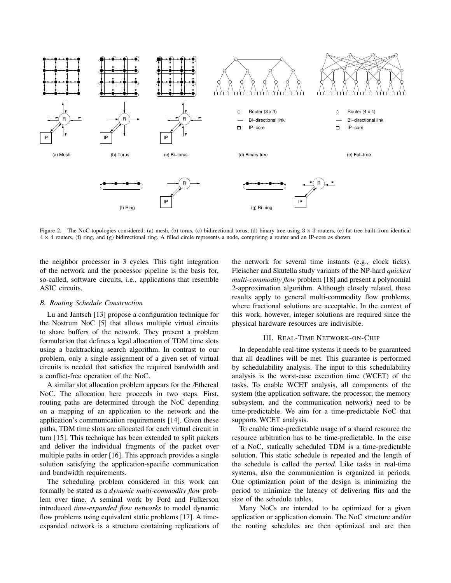

Figure 2. The NoC topologies considered: (a) mesh, (b) torus, (c) bidirectional torus, (d) binary tree using  $3 \times 3$  routers, (e) fat-tree built from identical  $4 \times 4$  routers, (f) ring, and (g) bidirectional ring. A filled circle represents a node, comprising a router and an IP-core as shown.

the neighbor processor in 3 cycles. This tight integration of the network and the processor pipeline is the basis for, so-called, software circuits, i.e., applications that resemble ASIC circuits.

## *B. Routing Schedule Construction*

Lu and Jantsch [13] propose a configuration technique for the Nostrum NoC [5] that allows multiple virtual circuits to share buffers of the network. They present a problem formulation that defines a legal allocation of TDM time slots using a backtracking search algorithm. In contrast to our problem, only a single assignment of a given set of virtual circuits is needed that satisfies the required bandwidth and a conflict-free operation of the NoC.

A similar slot allocation problem appears for the Æthereal NoC. The allocation here proceeds in two steps. First, routing paths are determined through the NoC depending on a mapping of an application to the network and the application's communication requirements [14]. Given these paths, TDM time slots are allocated for each virtual circuit in turn [15]. This technique has been extended to split packets and deliver the individual fragments of the packet over multiple paths in order [16]. This approach provides a single solution satisfying the application-specific communication and bandwidth requirements.

The scheduling problem considered in this work can formally be stated as a *dynamic multi-commodity flow* problem over time. A seminal work by Ford and Fulkerson introduced *time-expanded flow networks* to model dynamic flow problems using equivalent static problems [17]. A timeexpanded network is a structure containing replications of the network for several time instants (e.g., clock ticks). Fleischer and Skutella study variants of the NP-hard *quickest multi-commodity flow* problem [18] and present a polynomial 2-approximation algorithm. Although closely related, these results apply to general multi-commodity flow problems, where fractional solutions are acceptable. In the context of this work, however, integer solutions are required since the physical hardware resources are indivisible.

#### III. REAL-TIME NETWORK-ON-CHIP

In dependable real-time systems it needs to be guaranteed that all deadlines will be met. This guarantee is performed by schedulability analysis. The input to this schedulability analysis is the worst-case execution time (WCET) of the tasks. To enable WCET analysis, all components of the system (the application software, the processor, the memory subsystem, and the communication network) need to be time-predictable. We aim for a time-predictable NoC that supports WCET analysis.

To enable time-predictable usage of a shared resource the resource arbitration has to be time-predictable. In the case of a NoC, statically scheduled TDM is a time-predictable solution. This static schedule is repeated and the length of the schedule is called the *period*. Like tasks in real-time systems, also the communication is organized in periods. One optimization point of the design is minimizing the period to minimize the latency of delivering flits and the size of the schedule tables.

Many NoCs are intended to be optimized for a given application or application domain. The NoC structure and/or the routing schedules are then optimized and are then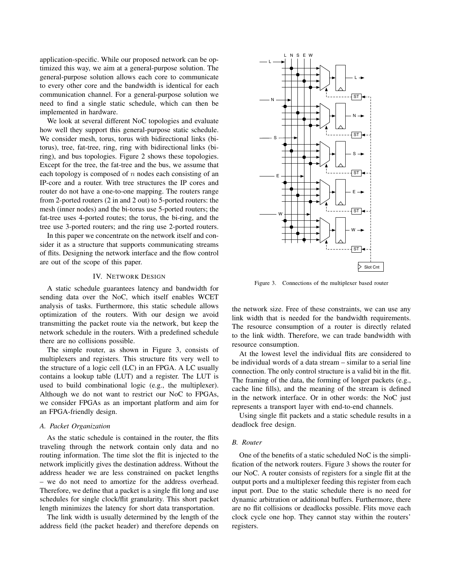application-specific. While our proposed network can be optimized this way, we aim at a general-purpose solution. The general-purpose solution allows each core to communicate to every other core and the bandwidth is identical for each communication channel. For a general-purpose solution we need to find a single static schedule, which can then be implemented in hardware.

We look at several different NoC topologies and evaluate how well they support this general-purpose static schedule. We consider mesh, torus, torus with bidirectional links (bitorus), tree, fat-tree, ring, ring with bidirectional links (biring), and bus topologies. Figure 2 shows these topologies. Except for the tree, the fat-tree and the bus, we assume that each topology is composed of  $n$  nodes each consisting of an IP-core and a router. With tree structures the IP cores and router do not have a one-to-one mapping. The routers range from 2-ported routers (2 in and 2 out) to 5-ported routers: the mesh (inner nodes) and the bi-torus use 5-ported routers; the fat-tree uses 4-ported routes; the torus, the bi-ring, and the tree use 3-ported routers; and the ring use 2-ported routers.

In this paper we concentrate on the network itself and consider it as a structure that supports communicating streams of flits. Designing the network interface and the flow control are out of the scope of this paper.

## IV. NETWORK DESIGN

A static schedule guarantees latency and bandwidth for sending data over the NoC, which itself enables WCET analysis of tasks. Furthermore, this static schedule allows optimization of the routers. With our design we avoid transmitting the packet route via the network, but keep the network schedule in the routers. With a predefined schedule there are no collisions possible.

The simple router, as shown in Figure 3, consists of multiplexers and registers. This structure fits very well to the structure of a logic cell (LC) in an FPGA. A LC usually contains a lookup table (LUT) and a register. The LUT is used to build combinational logic (e.g., the multiplexer). Although we do not want to restrict our NoC to FPGAs, we consider FPGAs as an important platform and aim for an FPGA-friendly design.

## *A. Packet Organization*

As the static schedule is contained in the router, the flits traveling through the network contain only data and no routing information. The time slot the flit is injected to the network implicitly gives the destination address. Without the address header we are less constrained on packet lengths – we do not need to amortize for the address overhead. Therefore, we define that a packet is a single flit long and use schedules for single clock/flit granularity. This short packet length minimizes the latency for short data transportation.

The link width is usually determined by the length of the address field (the packet header) and therefore depends on



Figure 3. Connections of the multiplexer based router

the network size. Free of these constraints, we can use any link width that is needed for the bandwidth requirements. The resource consumption of a router is directly related to the link width. Therefore, we can trade bandwidth with resource consumption.

At the lowest level the individual flits are considered to be individual words of a data stream – similar to a serial line connection. The only control structure is a valid bit in the flit. The framing of the data, the forming of longer packets (e.g., cache line fills), and the meaning of the stream is defined in the network interface. Or in other words: the NoC just represents a transport layer with end-to-end channels.

Using single flit packets and a static schedule results in a deadlock free design.

## *B. Router*

One of the benefits of a static scheduled NoC is the simplification of the network routers. Figure 3 shows the router for our NoC. A router consists of registers for a single flit at the output ports and a multiplexer feeding this register from each input port. Due to the static schedule there is no need for dynamic arbitration or additional buffers. Furthermore, there are no flit collisions or deadlocks possible. Flits move each clock cycle one hop. They cannot stay within the routers' registers.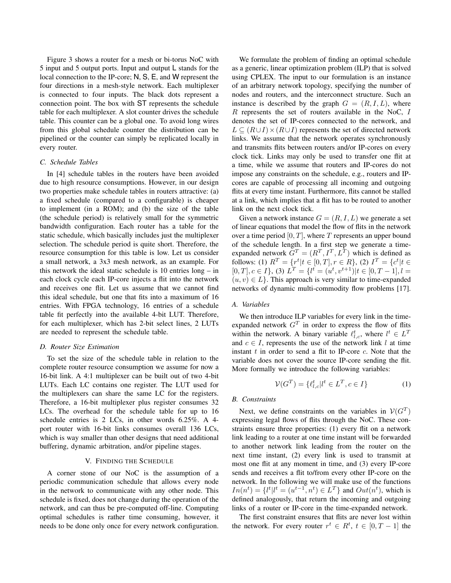Figure 3 shows a router for a mesh or bi-torus NoC with 5 input and 5 output ports. Input and output L stands for the local connection to the IP-core; N, S, E, and W represent the four directions in a mesh-style network. Each multiplexer is connected to four inputs. The black dots represent a connection point. The box with ST represents the schedule table for each multiplexer. A slot counter drives the schedule table. This counter can be a global one. To avoid long wires from this global schedule counter the distribution can be pipelined or the counter can simply be replicated locally in every router.

## *C. Schedule Tables*

In [4] schedule tables in the routers have been avoided due to high resource consumptions. However, in our design two properties make schedule tables in routers attractive: (a) a fixed schedule (compared to a configurable) is cheaper to implement (in a ROM); and (b) the size of the table (the schedule period) is relatively small for the symmetric bandwidth configuration. Each router has a table for the static schedule, which basically includes just the multiplexer selection. The schedule period is quite short. Therefore, the resource consumption for this table is low. Let us consider a small network, a 3x3 mesh network, as an example. For this network the ideal static schedule is 10 entries long – in each clock cycle each IP-core injects a flit into the network and receives one flit. Let us assume that we cannot find this ideal schedule, but one that fits into a maximum of 16 entries. With FPGA technology, 16 entries of a schedule table fit perfectly into the available 4-bit LUT. Therefore, for each multiplexer, which has 2-bit select lines, 2 LUTs are needed to represent the schedule table.

## *D. Router Size Estimation*

To set the size of the schedule table in relation to the complete router resource consumption we assume for now a 16-bit link. A 4:1 multiplexer can be built out of two 4-bit LUTs. Each LC contains one register. The LUT used for the multiplexers can share the same LC for the registers. Therefore, a 16-bit multiplexer plus register consumes 32 LCs. The overhead for the schedule table for up to 16 schedule entries is 2 LCs, in other words 6.25%. A 4 port router with 16-bit links consumes overall 136 LCs, which is way smaller than other designs that need additional buffering, dynamic arbitration, and/or pipeline stages.

## V. FINDING THE SCHEDULE

A corner stone of our NoC is the assumption of a periodic communication schedule that allows every node in the network to communicate with any other node. This schedule is fixed, does not change during the operation of the network, and can thus be pre-computed off-line. Computing optimal schedules is rather time consuming, however, it needs to be done only once for every network configuration.

We formulate the problem of finding an optimal schedule as a generic, linear optimization problem (ILP) that is solved using CPLEX. The input to our formulation is an instance of an arbitrary network topology, specifying the number of nodes and routers, and the interconnect structure. Such an instance is described by the graph  $G = (R, I, L)$ , where R represents the set of routers available in the NoC, I denotes the set of IP-cores connected to the network, and  $L \subseteq (R \cup I) \times (R \cup I)$  represents the set of directed network links. We assume that the network operates synchronously and transmits flits between routers and/or IP-cores on every clock tick. Links may only be used to transfer one flit at a time, while we assume that routers and IP-cores do not impose any constraints on the schedule, e.g., routers and IPcores are capable of processing all incoming and outgoing flits at every time instant. Furthermore, flits cannot be stalled at a link, which implies that a flit has to be routed to another link on the next clock tick.

Given a network instance  $G = (R, I, L)$  we generate a set of linear equations that model the flow of flits in the network over a time period  $[0, T]$ , where T represents an upper bound of the schedule length. In a first step we generate a timeexpanded network  $G^T = (R^T, I^T, L^T)$  which is defined as follows: (1)  $R^T = \{r^t | t \in [0, T], r \in R\}$ , (2)  $I^T = \{c^t | t \in$  $[0, T], c \in I$ , (3)  $L^T = \{l^t = (u^t, v^{t+1}) | t \in [0, T-1], l =$  $(u, v) \in L$ . This approach is very similar to time-expanded networks of dynamic multi-commodity flow problems [17].

#### *A. Variables*

We then introduce ILP variables for every link in the timeexpanded network  $G<sup>T</sup>$  in order to express the flow of flits within the network. A binary variable  $\ell_{l,c}^t$ , where  $l^t \in L^T$ and  $c \in I$ , represents the use of the network link l at time instant  $t$  in order to send a flit to IP-core  $c$ . Note that the variable does not cover the source IP-core sending the flit. More formally we introduce the following variables:

$$
\mathcal{V}(G^T) = \{ \ell_{l,c}^t | l^t \in L^T, c \in I \}
$$
 (1)

#### *B. Constraints*

Next, we define constraints on the variables in  $V(G^T)$ expressing legal flows of flits through the NoC. These constraints ensure three properties: (1) every flit on a network link leading to a router at one time instant will be forwarded to another network link leading from the router on the next time instant, (2) every link is used to transmit at most one flit at any moment in time, and (3) every IP-core sends and receives a flit to/from every other IP-core on the network. In the following we will make use of the functions  $In(n^t) = \{l^t | l^t = (u^{t-1}, n^t) \in L^T\}$  and  $Out(n^t)$ , which is defined analogously, that return the incoming and outgoing links of a router or IP-core in the time-expanded network.

The first constraint ensures that flits are never lost within the network. For every router  $r^t \in R^t$ ,  $t \in [0, T-1]$  the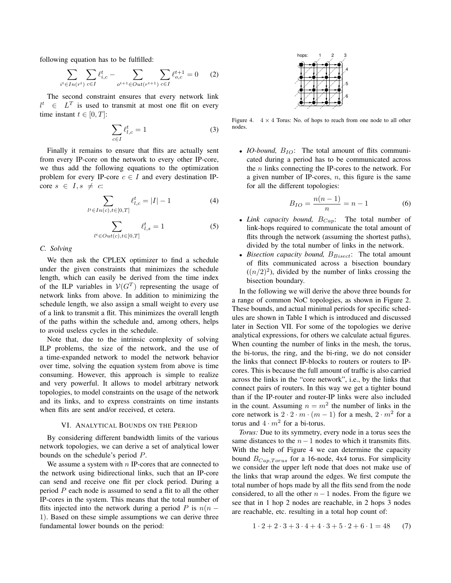following equation has to be fulfilled:

 $l^t$ 

$$
\sum_{i^t \in In(r^t)} \sum_{c \in I} \ell_{i,c}^t - \sum_{o^{t+1} \in Out(r^{t+1})} \sum_{c \in I} \ell_{o,c}^{t+1} = 0 \qquad (2)
$$

The second constraint ensures that every network link  $l^t \in L^T$  is used to transmit at most one flit on every time instant  $t \in [0, T]$ :

$$
\sum_{c \in I} \ell_{l,c}^t = 1 \tag{3}
$$

Finally it remains to ensure that flits are actually sent from every IP-core on the network to every other IP-core, we thus add the following equations to the optimization problem for every IP-core  $c \in I$  and every destination IPcore  $s \in I$ ,  $s \neq c$ :

$$
\sum_{l^t \in In(c), t \in [0,T]} \ell^t_{l,c} = |I| - 1 \tag{4}
$$

$$
\sum_{t \in Out(c), t \in [0,T]} \ell^t_{l,s} = 1 \tag{5}
$$

## *C. Solving*

We then ask the CPLEX optimizer to find a schedule under the given constraints that minimizes the schedule length, which can easily be derived from the time index of the ILP variables in  $V(G<sup>T</sup>)$  representing the usage of network links from above. In addition to minimizing the schedule length, we also assign a small weight to every use of a link to transmit a flit. This minimizes the overall length of the paths within the schedule and, among others, helps to avoid useless cycles in the schedule.

Note that, due to the intrinsic complexity of solving ILP problems, the size of the network, and the use of a time-expanded network to model the network behavior over time, solving the equation system from above is time consuming. However, this approach is simple to realize and very powerful. It allows to model arbitrary network topologies, to model constraints on the usage of the network and its links, and to express constraints on time instants when flits are sent and/or received, et cetera.

#### VI. ANALYTICAL BOUNDS ON THE PERIOD

By considering different bandwidth limits of the various network topologies, we can derive a set of analytical lower bounds on the schedule's period P.

We assume a system with  $n$  IP-cores that are connected to the network using bidirectional links, such that an IP-core can send and receive one flit per clock period. During a period P each node is assumed to send a flit to all the other IP-cores in the system. This means that the total number of flits injected into the network during a period P is  $n(n -$ 1). Based on these simple assumptions we can derive three fundamental lower bounds on the period:



Figure 4.  $4 \times 4$  Torus: No. of hops to reach from one node to all other nodes.

• *IO-bound,*  $B_{IO}$ : The total amount of flits communicated during a period has to be communicated across the n links connecting the IP-cores to the network. For a given number of IP-cores,  $n$ , this figure is the same for all the different topologies:

$$
B_{IO} = \frac{n(n-1)}{n} = n-1
$$
 (6)

- *Link capacity bound,*  $B_{Cap}$ : The total number of link-hops required to communicate the total amount of flits through the network (assuming the shortest paths), divided by the total number of links in the network.
- *Bisection capacity bound,*  $B_{Bisect}$ : The total amount of flits communicated across a bisection boundary  $((n/2)^2)$ , divided by the number of links crossing the bisection boundary.

In the following we will derive the above three bounds for a range of common NoC topologies, as shown in Figure 2. These bounds, and actual minimal periods for specific schedules are shown in Table I which is introduced and discussed later in Section VII. For some of the topologies we derive analytical expressions, for others we calculate actual figures. When counting the number of links in the mesh, the torus, the bi-torus, the ring, and the bi-ring, we do not consider the links that connect IP-blocks to routers or routers to IPcores. This is because the full amount of traffic is also carried across the links in the "core network", i.e., by the links that connect pairs of routers. In this way we get a tighter bound than if the IP-router and router-IP links were also included in the count. Assuming  $n = m^2$  the number of links in the core network is  $2 \cdot 2 \cdot m \cdot (m-1)$  for a mesh,  $2 \cdot m^2$  for a torus and  $4 \cdot m^2$  for a bi-torus.

*Torus:* Due to its symmetry, every node in a torus sees the same distances to the  $n-1$  nodes to which it transmits flits. With the help of Figure 4 we can determine the capacity bound  $B_{Can,Torus}$  for a 16-node, 4x4 torus. For simplicity we consider the upper left node that does not make use of the links that wrap around the edges. We first compute the total number of hops made by all the flits send from the node considered, to all the other  $n-1$  nodes. From the figure we see that in 1 hop 2 nodes are reachable, in 2 hops 3 nodes are reachable, etc. resulting in a total hop count of:

$$
1 \cdot 2 + 2 \cdot 3 + 3 \cdot 4 + 4 \cdot 3 + 5 \cdot 2 + 6 \cdot 1 = 48
$$
 (7)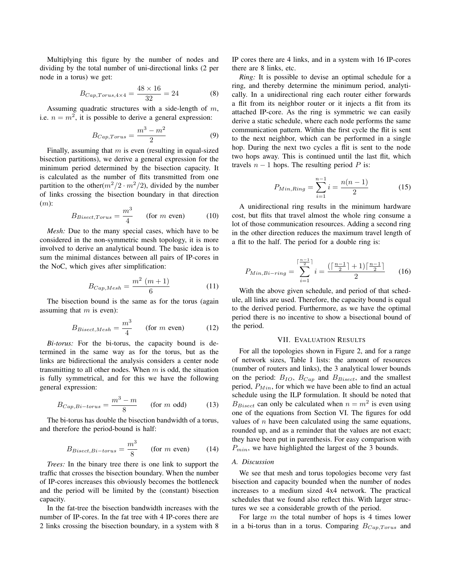Multiplying this figure by the number of nodes and dividing by the total number of uni-directional links (2 per node in a torus) we get:

$$
B_{Cap,Torus,4\times 4} = \frac{48 \times 16}{32} = 24
$$
 (8)

Assuming quadratic structures with a side-length of m, i.e.  $n = m^2$ , it is possible to derive a general expression:

$$
B_{Cap,Torus} = \frac{m^3 - m^2}{2} \tag{9}
$$

Finally, assuming that  $m$  is even (resulting in equal-sized bisection partitions), we derive a general expression for the minimum period determined by the bisection capacity. It is calculated as the number of flits transmitted from one partition to the other( $m^2/2 \cdot m^2/2$ ), divided by the number of links crossing the bisection boundary in that direction (m):

$$
B_{Bisect, Torus} = \frac{m^3}{4} \qquad \text{(for } m \text{ even)} \tag{10}
$$

*Mesh:* Due to the many special cases, which have to be considered in the non-symmetric mesh topology, it is more involved to derive an analytical bound. The basic idea is to sum the minimal distances between all pairs of IP-cores in the NoC, which gives after simplification:

$$
B_{Cap,Mesh} = \frac{m^2 \ (m+1)}{6} \tag{11}
$$

The bisection bound is the same as for the torus (again assuming that  $m$  is even):

$$
B_{Bisect,Mesh} = \frac{m^3}{4} \qquad \text{(for } m \text{ even)} \tag{12}
$$

*Bi-torus:* For the bi-torus, the capacity bound is determined in the same way as for the torus, but as the links are bidirectional the analysis considers a center node transmitting to all other nodes. When  $m$  is odd, the situation is fully symmetrical, and for this we have the following general expression:

$$
B_{Cap,Bi-torus} = \frac{m^3 - m}{8} \qquad \text{(for } m \text{ odd)} \tag{13}
$$

The bi-torus has double the bisection bandwidth of a torus, and therefore the period-bound is half:

$$
B_{Bisect,Bi-torus} = \frac{m^3}{8} \qquad \text{(for } m \text{ even)} \tag{14}
$$

*Trees:* In the binary tree there is one link to support the traffic that crosses the bisection boundary. When the number of IP-cores increases this obviously becomes the bottleneck and the period will be limited by the (constant) bisection capacity.

In the fat-tree the bisection bandwidth increases with the number of IP-cores. In the fat tree with 4 IP-cores there are 2 links crossing the bisection boundary, in a system with 8 IP cores there are 4 links, and in a system with 16 IP-cores there are 8 links, etc.

*Ring:* It is possible to devise an optimal schedule for a ring, and thereby determine the minimum period, analytically. In a unidirectional ring each router either forwards a flit from its neighbor router or it injects a flit from its attached IP-core. As the ring is symmetric we can easily derive a static schedule, where each node performs the same communication pattern. Within the first cycle the flit is sent to the next neighbor, which can be performed in a single hop. During the next two cycles a flit is sent to the node two hops away. This is continued until the last flit, which travels  $n - 1$  hops. The resulting period P is:

$$
P_{Min,Ring} = \sum_{i=1}^{n-1} i = \frac{n(n-1)}{2} \tag{15}
$$

A unidirectional ring results in the minimum hardware cost, but flits that travel almost the whole ring consume a lot of those communication resources. Adding a second ring in the other direction reduces the maximum travel length of a flit to the half. The period for a double ring is:

$$
P_{Min,Bi-ring} = \sum_{i=1}^{\lceil \frac{n-1}{2} \rceil} i = \frac{(\lceil \frac{n-1}{2} \rceil + 1)\lceil \frac{n-1}{2} \rceil}{2} \qquad (16)
$$

With the above given schedule, and period of that schedule, all links are used. Therefore, the capacity bound is equal to the derived period. Furthermore, as we have the optimal period there is no incentive to show a bisectional bound of the period.

## VII. EVALUATION RESULTS

For all the topologies shown in Figure 2, and for a range of network sizes, Table I lists: the amount of resources (number of routers and links), the 3 analytical lower bounds on the period:  $B_{IO}$ ,  $B_{Cap}$  and  $B_{Bisect}$ , and the smallest period,  $P_{Min}$ , for which we have been able to find an actual schedule using the ILP formulation. It should be noted that  $B_{Bisect}$  can only be calculated when  $n = m^2$  is even using one of the equations from Section VI. The figures for odd values of  $n$  have been calculated using the same equations, rounded up, and as a reminder that the values are not exact; they have been put in parenthesis. For easy comparison with  $P_{min}$ , we have highlighted the largest of the 3 bounds.

#### *A. Discussion*

We see that mesh and torus topologies become very fast bisection and capacity bounded when the number of nodes increases to a medium sized 4x4 network. The practical schedules that we found also reflect this. With larger structures we see a considerable growth of the period.

For large  $m$  the total number of hops is 4 times lower in a bi-torus than in a torus. Comparing  $B_{Cap,Torus}$  and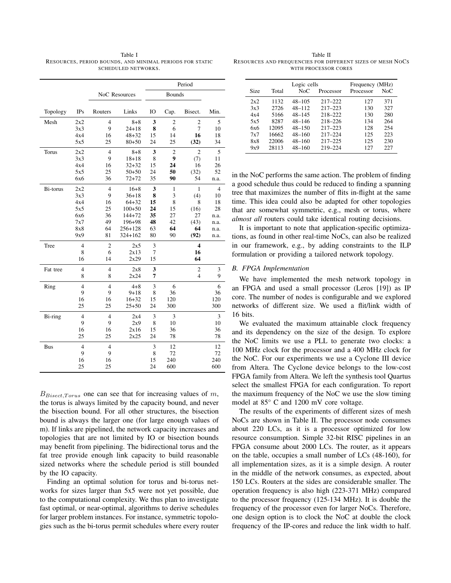Table I RESOURCES, PERIOD BOUNDS, AND MINIMAL PERIODS FOR STATIC SCHEDULED NETWORKS.

|          |                |                |               | Period        |                |                |      |
|----------|----------------|----------------|---------------|---------------|----------------|----------------|------|
|          |                |                | NoC Resources | <b>Bounds</b> |                |                |      |
| Topology | <b>IPs</b>     | Routers        | Links         | IO            | Cap.           | Bisect.        | Min. |
| Mesh     | 2x2            | 4              | $8 + 8$       | 3             | $\overline{c}$ | $\overline{c}$ | 5    |
|          | 3x3            | 9              | $24 + 18$     | 8             | 6              | 7              | 10   |
|          | 4x4            | 16             | $48 + 32$     | 15            | 14             | 16             | 18   |
|          | 5x5            | 25             | $80 + 50$     | 24            | 25             | (32)           | 34   |
| Torus    | 2x2            | 4              | $8 + 8$       | 3             | 2              | $\overline{c}$ | 5    |
|          | 3x3            | 9              | $18 + 18$     | 8             | 9              | (7)            | 11   |
|          | 4x4            | 16             | $32 + 32$     | 15            | 24             | 16             | 26   |
|          | 5x5            | 25             | $50 + 50$     | 24            | 50             | (32)           | 52   |
|          | 6x6            | 36             | $72 + 72$     | 35            | 90             | 54             | n.a. |
| Bi-torus | 2x2            | $\overline{4}$ | $16 + 8$      | 3             | $\mathbf{1}$   | $\mathbf{1}$   | 4    |
|          | 3x3            | 9              | $36 + 18$     | 8             | 3              | (4)            | 10   |
|          | 4x4            | 16             | $64 + 32$     | 15            | 8              | 8              | 18   |
|          | 5x5            | 25             | $100 + 50$    | 24            | 15             | (16)           | 28   |
|          | 6x6            | 36             | $144 + 72$    | 35            | 27             | 27             | n.a. |
|          | 7x7            | 49             | $196 + 98$    | 48            | 42             | (43)           | n.a. |
|          | 8x8            | 64             | $256 + 128$   | 63            | 64             | 64             | n.a. |
|          | 9x9            | 81             | $324 + 162$   | 80            | 90             | (92)           | n.a. |
| Tree     | $\overline{4}$ | $\overline{2}$ | 2x5           | 3             |                | 4              |      |
|          | 8              | 6              | 2x13          | 7             |                | 16             |      |
|          | 16             | 14             | 2x29          | 15            |                | 64             |      |
| Fat tree | $\overline{4}$ | 4              | 2x8           | 3             |                | $\overline{c}$ | 3    |
|          | 8              | 8              | 2x24          | 7             |                | 4              | 9    |
| Ring     | $\overline{4}$ | $\overline{4}$ | $4 + 8$       | 3             | 6              |                | 6    |
|          | 9              | 9              | $9 + 18$      | 8             | 36             |                | 36   |
|          | 16             | 16             | $16 + 32$     | 15            | 120            |                | 120  |
|          | 25             | 25             | $25 + 50$     | 24            | 300            |                | 300  |
| Bi-ring  | $\overline{4}$ | $\overline{4}$ | 2x4           | 3             | 3              |                | 3    |
|          | 9              | 9              | 2x9           | 8             | 10             |                | 10   |
|          | 16             | 16             | 2x16          | 15            | 36             |                | 36   |
|          | 25             | 25             | 2x25          | 24            | 78             |                | 78   |
| Bus      | $\overline{4}$ | $\overline{4}$ |               | 3             | 12             |                | 12   |
|          | 9              | 9              |               | 8             | 72             |                | 72   |
|          | 16             | 16             |               | 15            | 240            |                | 240  |
|          | 25             | 25             |               | 24            | 600            |                | 600  |

 $B_{Bisect, Torus}$  one can see that for increasing values of m, the torus is always limited by the capacity bound, and never the bisection bound. For all other structures, the bisection bound is always the larger one (for large enough values of m). If links are pipelined, the network capacity increases and topologies that are not limited by IO or bisection bounds may benefit from pipelining. The bidirectional torus and the fat tree provide enough link capacity to build reasonable sized networks where the schedule period is still bounded by the IO capacity.

Finding an optimal solution for torus and bi-torus networks for sizes larger than 5x5 were not yet possible, due to the computational complexity. We thus plan to investigate fast optimal, or near-optimal, algorithms to derive schedules for larger problem instances. For instance, symmetric topologies such as the bi-torus permit schedules where every router

Table II RESOURCES AND FREQUENCIES FOR DIFFERENT SIZES OF MESH NOCS WITH PROCESSOR CORES

|      |       | Logic cells |             | Frequency (MHz) |     |  |
|------|-------|-------------|-------------|-----------------|-----|--|
| Size | Total | NoC         | Processor   | Processor       | NoC |  |
| 2x2  | 1132  | $48 - 105$  | $217 - 222$ | 127             | 371 |  |
| 3x3  | 2726  | $48 - 112$  | $217 - 223$ | 130             | 327 |  |
| 4x4  | 5166  | $48 - 145$  | 218-222     | 130             | 280 |  |
| 5x5  | 8287  | $48 - 146$  | $218 - 226$ | 134             | 264 |  |
| 6x6  | 12095 | $48 - 150$  | $217 - 223$ | 128             | 254 |  |
| 7x7  | 16662 | $48 - 160$  | $217 - 224$ | 125             | 223 |  |
| 8x8  | 22006 | $48 - 160$  | $217 - 225$ | 125             | 230 |  |
| 9x9  | 28113 | $48 - 160$  | 219-224     | 127             | 227 |  |

in the NoC performs the same action. The problem of finding a good schedule thus could be reduced to finding a spanning tree that maximizes the number of flits in-flight at the same time. This idea could also be adapted for other topologies that are somewhat symmetric, e.g., mesh or torus, where *almost all* routers could take identical routing decisions.

It is important to note that application-specific optimizations, as found in other real-time NoCs, can also be realized in our framework, e.g., by adding constraints to the ILP formulation or providing a tailored network topology.

## *B. FPGA Implementation*

We have implemented the mesh network topology in an FPGA and used a small processor (Leros [19]) as IP core. The number of nodes is configurable and we explored networks of different size. We used a flit/link width of 16 bits.

We evaluated the maximum attainable clock frequency and its dependency on the size of the design. To explore the NoC limits we use a PLL to generate two clocks: a 100 MHz clock for the processor and a 400 MHz clock for the NoC. For our experiments we use a Cyclone III device from Altera. The Cyclone device belongs to the low-cost FPGA family from Altera. We left the synthesis tool Quartus select the smallest FPGA for each configuration. To report the maximum frequency of the NoC we use the slow timing model at 85° C and 1200 mV core voltage.

The results of the experiments of different sizes of mesh NoCs are shown in Table II. The processor node consumes about 220 LCs, as it is a processor optimized for low resource consumption. Simple 32-bit RISC pipelines in an FPGA consume about 2000 LCs. The router, as it appears on the table, occupies a small number of LCs (48-160), for all implementation sizes, as it is a simple design. A router in the middle of the network consumes, as expected, about 150 LCs. Routers at the sides are considerable smaller. The operation frequency is also high (223-371 MHz) compared to the processor frequency (125-134 MHz). It is double the frequency of the processor even for larger NoCs. Therefore, one design option is to clock the NoC at double the clock frequency of the IP-cores and reduce the link width to half.